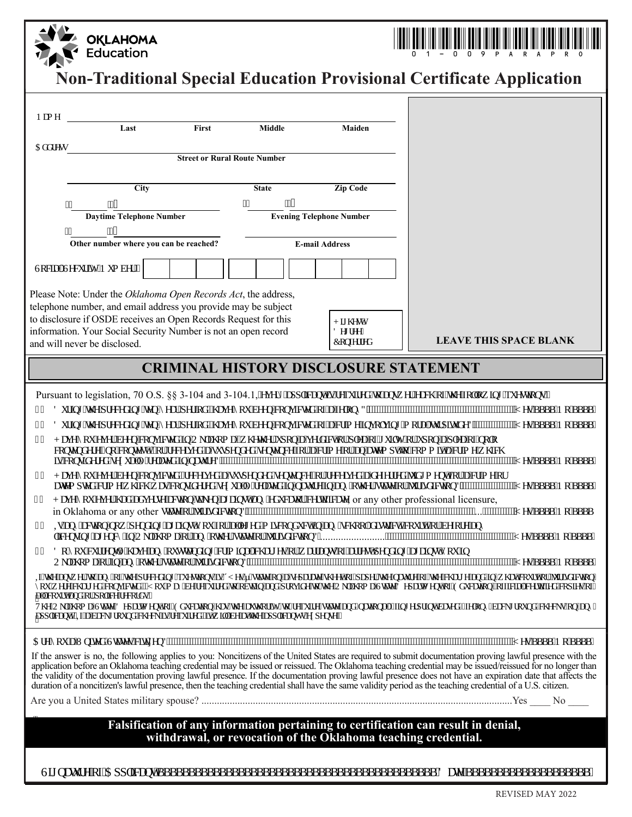| <b>OKLAHOMA</b><br>Education                                                                                                                                                                                                                                                                                                                                                                                                                                                                                                                                                                                                                                                                                                                                                                                                                                                                                                                                                                                                                                                                                                                                                                                                                                                                                                                                                                                                                                                                          |                               |
|-------------------------------------------------------------------------------------------------------------------------------------------------------------------------------------------------------------------------------------------------------------------------------------------------------------------------------------------------------------------------------------------------------------------------------------------------------------------------------------------------------------------------------------------------------------------------------------------------------------------------------------------------------------------------------------------------------------------------------------------------------------------------------------------------------------------------------------------------------------------------------------------------------------------------------------------------------------------------------------------------------------------------------------------------------------------------------------------------------------------------------------------------------------------------------------------------------------------------------------------------------------------------------------------------------------------------------------------------------------------------------------------------------------------------------------------------------------------------------------------------------|-------------------------------|
| <b>Non-Traditional Special Education Provisional Certificate Application</b>                                                                                                                                                                                                                                                                                                                                                                                                                                                                                                                                                                                                                                                                                                                                                                                                                                                                                                                                                                                                                                                                                                                                                                                                                                                                                                                                                                                                                          |                               |
| <b>BUAY</b><br>First<br>Last<br><b>Middle</b><br><b>Maiden</b>                                                                                                                                                                                                                                                                                                                                                                                                                                                                                                                                                                                                                                                                                                                                                                                                                                                                                                                                                                                                                                                                                                                                                                                                                                                                                                                                                                                                                                        |                               |
| 5XXYgg<br><b>Street or Rural Route Number</b>                                                                                                                                                                                                                                                                                                                                                                                                                                                                                                                                                                                                                                                                                                                                                                                                                                                                                                                                                                                                                                                                                                                                                                                                                                                                                                                                                                                                                                                         |                               |
|                                                                                                                                                                                                                                                                                                                                                                                                                                                                                                                                                                                                                                                                                                                                                                                                                                                                                                                                                                                                                                                                                                                                                                                                                                                                                                                                                                                                                                                                                                       |                               |
| <b>Zip Code</b><br>City<br><b>State</b><br>Ŧ.<br>fl<br>Ŧ.<br>fl<br><b>Daytime Telephone Number</b><br><b>Evening Telephone Number</b><br>£.<br>fl<br>Other number where you can be reached?<br><b>E-mail Address</b>                                                                                                                                                                                                                                                                                                                                                                                                                                                                                                                                                                                                                                                                                                                                                                                                                                                                                                                                                                                                                                                                                                                                                                                                                                                                                  |                               |
| GcVW GYMf lmBi a VYf.                                                                                                                                                                                                                                                                                                                                                                                                                                                                                                                                                                                                                                                                                                                                                                                                                                                                                                                                                                                                                                                                                                                                                                                                                                                                                                                                                                                                                                                                                 |                               |
| Please Note: Under the Oklahoma Open Records Act, the address,<br>telephone number, and email address you provide may be subject<br>to disclosure if OSDE receives an Open Records Request for this<br>$\langle$ ][\Yghi<br>information. Your Social Security Number is not an open record<br>8YfYY<br>7cb2fffYX<br>and will never be disclosed.                                                                                                                                                                                                                                                                                                                                                                                                                                                                                                                                                                                                                                                                                                                                                                                                                                                                                                                                                                                                                                                                                                                                                      | <b>LEAVE THIS SPACE BLANK</b> |
| <b>CRIMINAL HISTORY DISCLOSURE STATEMENT</b>                                                                                                                                                                                                                                                                                                                                                                                                                                                                                                                                                                                                                                                                                                                                                                                                                                                                                                                                                                                                                                                                                                                                                                                                                                                                                                                                                                                                                                                          |                               |
| Pursuant to legislation, 70 O.S. §§ 3-104 and 3-104.1, Yj YfriLdd']WbhlgfYei ]fYXlc Ugk Yf YUV cZhYZ ``ck ]b[ ei Yg]cbg<br>8i f]b[ 'hYdfYWX]b[ 'hYb!mYLf'dYf]cXi'\UJ Ynai VYYb Wbj ]WMXcZUZYcbn3"""<br>%<br>8i f]b[ 'h YdfYWA]b[ 'Hb!nMf'dM']cXz"\U Ynai VYYb Wbj ]WMXcZUWi]a Y]bj c`j ]b[ 'a cfU'h fd]h XY3"<br>"""MgSSSS Bc SSSS<br>&<br>$^{\prime}$<br>< U Ymri Y Yf WYb Wbj  WYX bC_U\ca Uzk \Yh Yf i dcb Uj Yf XWacf d YUcZ[ i ] Imrf i dcb Ud YUcZbc `c<br>WÓłbXYY fbc Wolfgłiżcf fWyj YXUg grYbXYX gybłbWZf UWJa Y cf W UWa dhic Wa a JhUWJa Y k \JW<br>JgWbgXYYX gyl i U mfYUYX JbbUi fY3<br><b>MESSSS Bc SSSS</b><br>< U Ynai "Y Yf VYb Wbj  WYZYYWJj YXUgi gYbXYXgYbHbWZcf fYWJj YXUXYZYfYX"I XI a YbhZcf UWJa Ycf<br>Uhla dhXWja Yk\]W KUgWbgJXhYXgYl i U`mfYUhX]b bUirY]b Umch Yr gUlYcf 'i f]gXJWjcb3""""""""""""""""""""MgSSSS BcSSSS<br>$*$ "<br>=ZhYUxk Yr It UnrcZhYdfWMb  ei Ygjcbg gÎMyğ gUYcbUgYdUUYg\YhcZdUYfhYbUifYcZhYWU[YUx]b k\UiWifhcf^i f gYJWcb`<br>nai kYrYWUJYAWbj JWAX" Msi a UnWYNei JfYXIr cWUb UXdfcj JXYIr KYC_U.ca UCHPY8YdUla YbhcZ9X WhcbžcZJWU WHZYXWdJYgcZ<br>U`Wi fhUbX#ef`dc`]WfYWfXg"<br>H\YC_`U\ca UGHIY8YdUfla YbhcZ9XI Wijcb`\Ugh\YU h\cf]lmlv fYei ]fYgHIYUbXbUjcbU`fZjb[Yfdf]bHWgXXLZYcbmWW[fci bXWWYgcb`Ubm<br>Udd` Wibh``=ZUVWY] fci bXWYW` gfYei  fYzcJhk  ``YYUhhYUdd` WbhyYYddYbgY`<br>If the answer is no, the following applies to you: Noncitizens of the United States are required to submit documentation proving lawful presence with the |                               |
| application before an Oklahoma teaching credential may be issued or reissued. The Oklahoma teaching credential may be issued/reissued for no longer than<br>the validity of the documentation proving lawful presence. If the documentation proving lawful presence does not have an expiration date that affects the<br>duration of a noncitizen's lawful presence, then the teaching credential shall have the same validity period as the teaching credential of a U.S. citizen.                                                                                                                                                                                                                                                                                                                                                                                                                                                                                                                                                                                                                                                                                                                                                                                                                                                                                                                                                                                                                   |                               |
|                                                                                                                                                                                                                                                                                                                                                                                                                                                                                                                                                                                                                                                                                                                                                                                                                                                                                                                                                                                                                                                                                                                                                                                                                                                                                                                                                                                                                                                                                                       |                               |
| Falsification of any information pertaining to certification can result in denial,<br>withdrawal, or revocation of the Oklahoma teaching credential.                                                                                                                                                                                                                                                                                                                                                                                                                                                                                                                                                                                                                                                                                                                                                                                                                                                                                                                                                                                                                                                                                                                                                                                                                                                                                                                                                  |                               |
|                                                                                                                                                                                                                                                                                                                                                                                                                                                                                                                                                                                                                                                                                                                                                                                                                                                                                                                                                                                                                                                                                                                                                                                                                                                                                                                                                                                                                                                                                                       |                               |

6LJQDWXUHRI\$SSOLFDQWBBBBBBBBBBBBBBBBBBBBBBBBBBBBBBBBBBBBBBBBBBBBB'DWHBBBBBBBBBBBBBBBBBBBB -XQH -XQH 6LJQDWXUHRI\$SSOLFDQWBBBBBBBBBBBBBBBBBBBBBBBBBBBBBBBBBBBBBBBBBBBBB'DWHBBBBBBBBBBBBBBBBBBBB